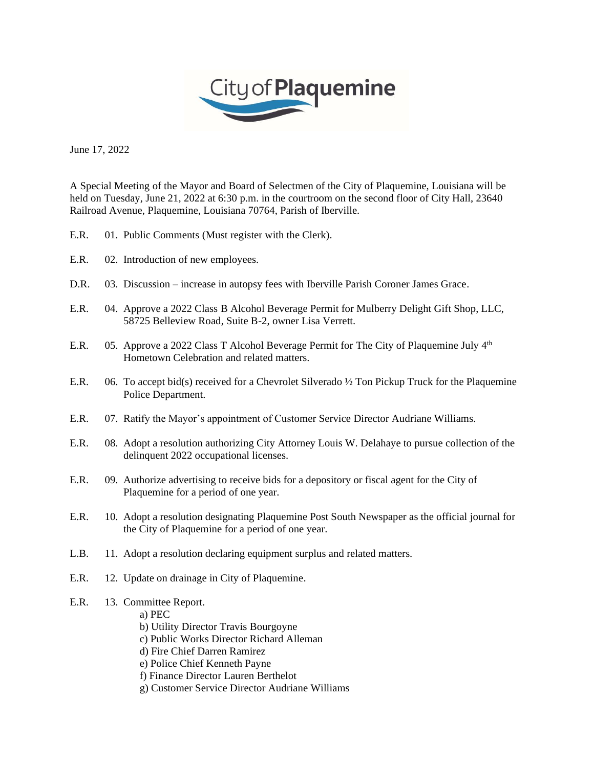

June 17, 2022

A Special Meeting of the Mayor and Board of Selectmen of the City of Plaquemine, Louisiana will be held on Tuesday, June 21, 2022 at 6:30 p.m. in the courtroom on the second floor of City Hall, 23640 Railroad Avenue, Plaquemine, Louisiana 70764, Parish of Iberville.

- E.R. 01. Public Comments (Must register with the Clerk).
- E.R. 02. Introduction of new employees.
- D.R. 03. Discussion increase in autopsy fees with Iberville Parish Coroner James Grace.
- E.R. 04. Approve a 2022 Class B Alcohol Beverage Permit for Mulberry Delight Gift Shop, LLC, 58725 Belleview Road, Suite B-2, owner Lisa Verrett.
- E.R. 05. Approve a 2022 Class T Alcohol Beverage Permit for The City of Plaquemine July  $4<sup>th</sup>$ Hometown Celebration and related matters.
- E.R. 06. To accept bid(s) received for a Chevrolet Silverado ½ Ton Pickup Truck for the Plaquemine Police Department.
- E.R. 07. Ratify the Mayor's appointment of Customer Service Director Audriane Williams.
- E.R. 08. Adopt a resolution authorizing City Attorney Louis W. Delahaye to pursue collection of the delinquent 2022 occupational licenses.
- E.R. 09. Authorize advertising to receive bids for a depository or fiscal agent for the City of Plaquemine for a period of one year.
- E.R. 10. Adopt a resolution designating Plaquemine Post South Newspaper as the official journal for the City of Plaquemine for a period of one year.
- L.B. 11. Adopt a resolution declaring equipment surplus and related matters.
- E.R. 12. Update on drainage in City of Plaquemine.
- E.R. 13. Committee Report.
	- a) PEC
	- b) Utility Director Travis Bourgoyne
	- c) Public Works Director Richard Alleman
	- d) Fire Chief Darren Ramirez
	- e) Police Chief Kenneth Payne
	- f) Finance Director Lauren Berthelot
	- g) Customer Service Director Audriane Williams